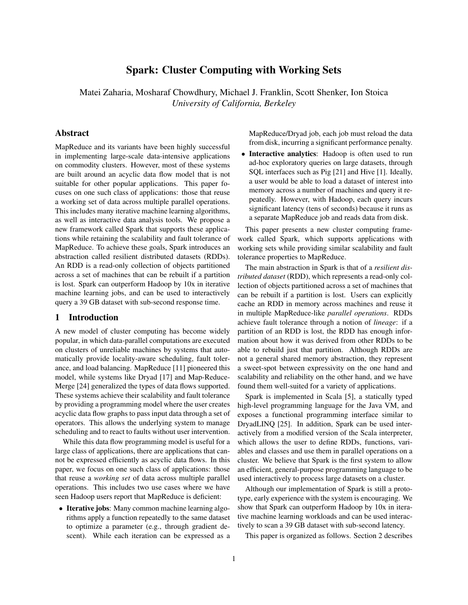# Spark: Cluster Computing with Working Sets

Matei Zaharia, Mosharaf Chowdhury, Michael J. Franklin, Scott Shenker, Ion Stoica *University of California, Berkeley*

### Abstract

MapReduce and its variants have been highly successful in implementing large-scale data-intensive applications on commodity clusters. However, most of these systems are built around an acyclic data flow model that is not suitable for other popular applications. This paper focuses on one such class of applications: those that reuse a working set of data across multiple parallel operations. This includes many iterative machine learning algorithms, as well as interactive data analysis tools. We propose a new framework called Spark that supports these applications while retaining the scalability and fault tolerance of MapReduce. To achieve these goals, Spark introduces an abstraction called resilient distributed datasets (RDDs). An RDD is a read-only collection of objects partitioned across a set of machines that can be rebuilt if a partition is lost. Spark can outperform Hadoop by 10x in iterative machine learning jobs, and can be used to interactively query a 39 GB dataset with sub-second response time.

### 1 Introduction

A new model of cluster computing has become widely popular, in which data-parallel computations are executed on clusters of unreliable machines by systems that automatically provide locality-aware scheduling, fault tolerance, and load balancing. MapReduce [11] pioneered this model, while systems like Dryad [17] and Map-Reduce-Merge [24] generalized the types of data flows supported. These systems achieve their scalability and fault tolerance by providing a programming model where the user creates acyclic data flow graphs to pass input data through a set of operators. This allows the underlying system to manage scheduling and to react to faults without user intervention.

While this data flow programming model is useful for a large class of applications, there are applications that cannot be expressed efficiently as acyclic data flows. In this paper, we focus on one such class of applications: those that reuse a *working set* of data across multiple parallel operations. This includes two use cases where we have seen Hadoop users report that MapReduce is deficient:

• Iterative jobs: Many common machine learning algorithms apply a function repeatedly to the same dataset to optimize a parameter (e.g., through gradient descent). While each iteration can be expressed as a MapReduce/Dryad job, each job must reload the data from disk, incurring a significant performance penalty.

Interactive analytics: Hadoop is often used to run ad-hoc exploratory queries on large datasets, through SQL interfaces such as Pig [21] and Hive [1]. Ideally, a user would be able to load a dataset of interest into memory across a number of machines and query it repeatedly. However, with Hadoop, each query incurs significant latency (tens of seconds) because it runs as a separate MapReduce job and reads data from disk.

This paper presents a new cluster computing framework called Spark, which supports applications with working sets while providing similar scalability and fault tolerance properties to MapReduce.

The main abstraction in Spark is that of a *resilient distributed dataset* (RDD), which represents a read-only collection of objects partitioned across a set of machines that can be rebuilt if a partition is lost. Users can explicitly cache an RDD in memory across machines and reuse it in multiple MapReduce-like *parallel operations*. RDDs achieve fault tolerance through a notion of *lineage*: if a partition of an RDD is lost, the RDD has enough information about how it was derived from other RDDs to be able to rebuild just that partition. Although RDDs are not a general shared memory abstraction, they represent a sweet-spot between expressivity on the one hand and scalability and reliability on the other hand, and we have found them well-suited for a variety of applications.

Spark is implemented in Scala [5], a statically typed high-level programming language for the Java VM, and exposes a functional programming interface similar to DryadLINQ [25]. In addition, Spark can be used interactively from a modified version of the Scala interpreter, which allows the user to define RDDs, functions, variables and classes and use them in parallel operations on a cluster. We believe that Spark is the first system to allow an efficient, general-purpose programming language to be used interactively to process large datasets on a cluster.

Although our implementation of Spark is still a prototype, early experience with the system is encouraging. We show that Spark can outperform Hadoop by 10x in iterative machine learning workloads and can be used interactively to scan a 39 GB dataset with sub-second latency.

This paper is organized as follows. Section 2 describes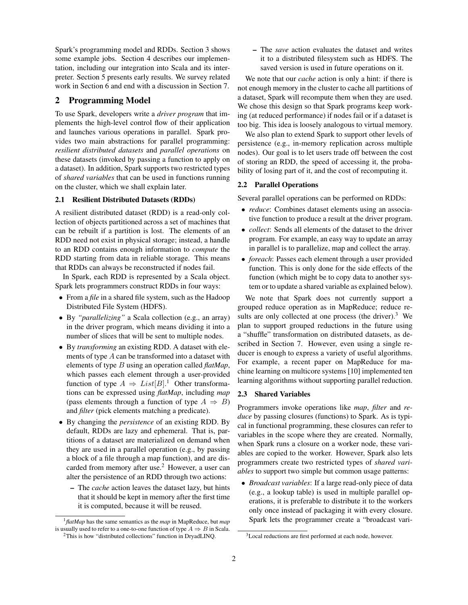Spark's programming model and RDDs. Section 3 shows some example jobs. Section 4 describes our implementation, including our integration into Scala and its interpreter. Section 5 presents early results. We survey related work in Section 6 and end with a discussion in Section 7.

## 2 Programming Model

To use Spark, developers write a *driver program* that implements the high-level control flow of their application and launches various operations in parallel. Spark provides two main abstractions for parallel programming: *resilient distributed datasets* and *parallel operations* on these datasets (invoked by passing a function to apply on a dataset). In addition, Spark supports two restricted types of *shared variables* that can be used in functions running on the cluster, which we shall explain later.

#### 2.1 Resilient Distributed Datasets (RDDs)

A resilient distributed dataset (RDD) is a read-only collection of objects partitioned across a set of machines that can be rebuilt if a partition is lost. The elements of an RDD need not exist in physical storage; instead, a handle to an RDD contains enough information to *compute* the RDD starting from data in reliable storage. This means that RDDs can always be reconstructed if nodes fail.

In Spark, each RDD is represented by a Scala object. Spark lets programmers construct RDDs in four ways:

- From a *file* in a shared file system, such as the Hadoop Distributed File System (HDFS).
- By *"parallelizing"* a Scala collection (e.g., an array) in the driver program, which means dividing it into a number of slices that will be sent to multiple nodes.
- By *transforming* an existing RDD. A dataset with elements of type  $A$  can be transformed into a dataset with elements of type B using an operation called *flatMap*, which passes each element through a user-provided function of type  $A \Rightarrow List[B].$ <sup>1</sup> Other transformations can be expressed using *flatMap*, including *map* (pass elements through a function of type  $A \Rightarrow B$ ) and *filter* (pick elements matching a predicate).
- By changing the *persistence* of an existing RDD. By default, RDDs are lazy and ephemeral. That is, partitions of a dataset are materialized on demand when they are used in a parallel operation (e.g., by passing a block of a file through a map function), and are discarded from memory after use.<sup>2</sup> However, a user can alter the persistence of an RDD through two actions:
	- The *cache* action leaves the dataset lazy, but hints that it should be kept in memory after the first time it is computed, because it will be reused.

– The *save* action evaluates the dataset and writes it to a distributed filesystem such as HDFS. The saved version is used in future operations on it.

We note that our *cache* action is only a hint: if there is not enough memory in the cluster to cache all partitions of a dataset, Spark will recompute them when they are used. We chose this design so that Spark programs keep working (at reduced performance) if nodes fail or if a dataset is too big. This idea is loosely analogous to virtual memory.

We also plan to extend Spark to support other levels of persistence (e.g., in-memory replication across multiple nodes). Our goal is to let users trade off between the cost of storing an RDD, the speed of accessing it, the probability of losing part of it, and the cost of recomputing it.

#### 2.2 Parallel Operations

Several parallel operations can be performed on RDDs:

- *reduce*: Combines dataset elements using an associative function to produce a result at the driver program.
- *collect*: Sends all elements of the dataset to the driver program. For example, an easy way to update an array in parallel is to parallelize, map and collect the array.
- *foreach*: Passes each element through a user provided function. This is only done for the side effects of the function (which might be to copy data to another system or to update a shared variable as explained below).

We note that Spark does not currently support a grouped reduce operation as in MapReduce; reduce results are only collected at one process (the driver).<sup>3</sup> We plan to support grouped reductions in the future using a "shuffle" transformation on distributed datasets, as described in Section 7. However, even using a single reducer is enough to express a variety of useful algorithms. For example, a recent paper on MapReduce for machine learning on multicore systems [10] implemented ten learning algorithms without supporting parallel reduction.

#### 2.3 Shared Variables

Programmers invoke operations like *map*, *filter* and *reduce* by passing closures (functions) to Spark. As is typical in functional programming, these closures can refer to variables in the scope where they are created. Normally, when Spark runs a closure on a worker node, these variables are copied to the worker. However, Spark also lets programmers create two restricted types of *shared variables* to support two simple but common usage patterns:

• *Broadcast variables*: If a large read-only piece of data (e.g., a lookup table) is used in multiple parallel operations, it is preferable to distribute it to the workers only once instead of packaging it with every closure. Spark lets the programmer create a "broadcast vari-

<sup>1</sup>*flatMap* has the same semantics as the *map* in MapReduce, but *map* is usually used to refer to a one-to-one function of type  $A \Rightarrow B$  in Scala.

<sup>&</sup>lt;sup>2</sup>This is how "distributed collections" function in DryadLINQ.

 $3$ Local reductions are first performed at each node, however.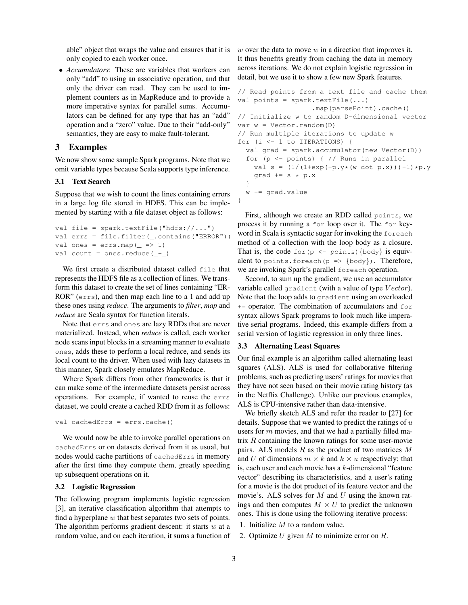able" object that wraps the value and ensures that it is only copied to each worker once.

• *Accumulators*: These are variables that workers can only "add" to using an associative operation, and that only the driver can read. They can be used to implement counters as in MapReduce and to provide a more imperative syntax for parallel sums. Accumulators can be defined for any type that has an "add" operation and a "zero" value. Due to their "add-only" semantics, they are easy to make fault-tolerant.

### 3 Examples

We now show some sample Spark programs. Note that we omit variable types because Scala supports type inference.

#### 3.1 Text Search

Suppose that we wish to count the lines containing errors in a large log file stored in HDFS. This can be implemented by starting with a file dataset object as follows:

```
val file = spark.textFile("hdfs://...")val errs = file.filter(_.contains("ERROR"))
val ones = \text{errs}.\text{map} ( => 1)
val count = ones. reduce( +_ )
```
We first create a distributed dataset called file that represents the HDFS file as a collection of lines. We transform this dataset to create the set of lines containing "ER-ROR" (errs), and then map each line to a 1 and add up these ones using *reduce*. The arguments to *filter*, *map* and *reduce* are Scala syntax for function literals.

Note that errs and ones are lazy RDDs that are never materialized. Instead, when *reduce* is called, each worker node scans input blocks in a streaming manner to evaluate ones, adds these to perform a local reduce, and sends its local count to the driver. When used with lazy datasets in this manner, Spark closely emulates MapReduce.

Where Spark differs from other frameworks is that it can make some of the intermediate datasets persist across operations. For example, if wanted to reuse the errs dataset, we could create a cached RDD from it as follows:

```
val cachedErrs = errs.cache()
```
We would now be able to invoke parallel operations on cachedErrs or on datasets derived from it as usual, but nodes would cache partitions of cachedErrs in memory after the first time they compute them, greatly speeding up subsequent operations on it.

#### 3.2 Logistic Regression

The following program implements logistic regression [3], an iterative classification algorithm that attempts to find a hyperplane  $w$  that best separates two sets of points. The algorithm performs gradient descent: it starts  $w$  at a random value, and on each iteration, it sums a function of  $w$  over the data to move  $w$  in a direction that improves it. It thus benefits greatly from caching the data in memory across iterations. We do not explain logistic regression in detail, but we use it to show a few new Spark features.

```
// Read points from a text file and cache them
val points = spark.textFile(...)
                  .map(parsePoint).cache()
// Initialize w to random D-dimensional vector
var w = Vector.random(D)// Run multiple iterations to update w
for (i <- 1 to ITERATIONS) {
  val grad = spark.accumulator(new Vector(D))
  for (p <- points) { // Runs in parallel
    val s = (1/(1+exp(-p.y*(w dot p.x))) - 1)*p.ygrad += s * p.x}
  w -= grad.value
}
```
First, although we create an RDD called points, we process it by running a for loop over it. The for keyword in Scala is syntactic sugar for invoking the foreach method of a collection with the loop body as a closure. That is, the code for  $(p \le -\text{points})$  {body} is equivalent to points. for each  $(p \Rightarrow \{body\})$ . Therefore, we are invoking Spark's parallel foreach operation.

Second, to sum up the gradient, we use an accumulator variable called gradient (with a value of type  $Vector$ ). Note that the loop adds to gradient using an overloaded  $+=$  operator. The combination of accumulators and  $for$ syntax allows Spark programs to look much like imperative serial programs. Indeed, this example differs from a serial version of logistic regression in only three lines.

#### 3.3 Alternating Least Squares

Our final example is an algorithm called alternating least squares (ALS). ALS is used for collaborative filtering problems, such as predicting users' ratings for movies that they have not seen based on their movie rating history (as in the Netflix Challenge). Unlike our previous examples, ALS is CPU-intensive rather than data-intensive.

We briefly sketch ALS and refer the reader to [27] for details. Suppose that we wanted to predict the ratings of  $u$ users for m movies, and that we had a partially filled matrix  $R$  containing the known ratings for some user-movie pairs. ALS models  $R$  as the product of two matrices  $M$ and U of dimensions  $m \times k$  and  $k \times u$  respectively; that is, each user and each movie has a k-dimensional "feature vector" describing its characteristics, and a user's rating for a movie is the dot product of its feature vector and the movie's. ALS solves for  $M$  and  $U$  using the known ratings and then computes  $M \times U$  to predict the unknown ones. This is done using the following iterative process:

- 1. Initialize  $M$  to a random value.
- 2. Optimize  $U$  given  $M$  to minimize error on  $R$ .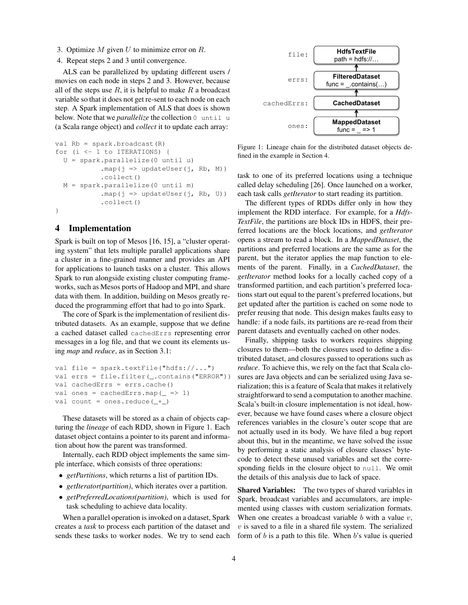- 3. Optimize  $M$  given  $U$  to minimize error on  $R$ .
- 4. Repeat steps 2 and 3 until convergence.

ALS can be parallelized by updating different users / movies on each node in steps 2 and 3. However, because all of the steps use  $R$ , it is helpful to make  $R$  a broadcast variable so that it does not get re-sent to each node on each step. A Spark implementation of ALS that does is shown below. Note that we *parallelize* the collection 0 until u (a Scala range object) and *collect* it to update each array:

```
val Rb = spark.broadcast(R)
for (i \leq 1 to ITERATIONS) {
  U = spark.parallelize(0 until u)
            .map(j \implies \text{updateUser}(j, Rb, M))
            .collect()
  M = spark.parallelize(0 until m)
            .map(j => updateUser(j, Rb, U))
            .collect()
```
#### }

### 4 Implementation

Spark is built on top of Mesos [16, 15], a "cluster operating system" that lets multiple parallel applications share a cluster in a fine-grained manner and provides an API for applications to launch tasks on a cluster. This allows Spark to run alongside existing cluster computing frameworks, such as Mesos ports of Hadoop and MPI, and share data with them. In addition, building on Mesos greatly reduced the programming effort that had to go into Spark.

The core of Spark is the implementation of resilient distributed datasets. As an example, suppose that we define a cached dataset called cachedErrs representing error messages in a log file, and that we count its elements using *map* and *reduce*, as in Section 3.1:

```
val file = spark.textFile("hdfs://...")val errs = file.filter(_.contains("ERROR"))
val cachedErrs = errs.cache()
val ones = cachedErrs.map( => 1)
val count = ones. reduce( + )
```
These datasets will be stored as a chain of objects capturing the *lineage* of each RDD, shown in Figure 1. Each dataset object contains a pointer to its parent and information about how the parent was transformed.

Internally, each RDD object implements the same simple interface, which consists of three operations:

- *getPartitions*, which returns a list of partition IDs.
- *getIterator(partition)*, which iterates over a partition.
- *getPreferredLocations(partition)*, which is used for task scheduling to achieve data locality.

When a parallel operation is invoked on a dataset, Spark creates a *task* to process each partition of the dataset and sends these tasks to worker nodes. We try to send each



Figure 1: Lineage chain for the distributed dataset objects defined in the example in Section 4.

task to one of its preferred locations using a technique called delay scheduling [26]. Once launched on a worker, each task calls *getIterator* to start reading its partition.

The different types of RDDs differ only in how they implement the RDD interface. For example, for a *Hdfs-TextFile*, the partitions are block IDs in HDFS, their preferred locations are the block locations, and *getIterator* opens a stream to read a block. In a *MappedDataset*, the partitions and preferred locations are the same as for the parent, but the iterator applies the map function to elements of the parent. Finally, in a *CachedDataset*, the *getIterator* method looks for a locally cached copy of a transformed partition, and each partition's preferred locations start out equal to the parent's preferred locations, but get updated after the partition is cached on some node to prefer reusing that node. This design makes faults easy to handle: if a node fails, its partitions are re-read from their parent datasets and eventually cached on other nodes.

Finally, shipping tasks to workers requires shipping closures to them—both the closures used to define a distributed dataset, and closures passed to operations such as *reduce*. To achieve this, we rely on the fact that Scala closures are Java objects and can be serialized using Java serialization; this is a feature of Scala that makes it relatively straightforward to send a computation to another machine. Scala's built-in closure implementation is not ideal, however, because we have found cases where a closure object references variables in the closure's outer scope that are not actually used in its body. We have filed a bug report about this, but in the meantime, we have solved the issue by performing a static analysis of closure classes' bytecode to detect these unused variables and set the corresponding fields in the closure object to null. We omit the details of this analysis due to lack of space.

Shared Variables: The two types of shared variables in Spark, broadcast variables and accumulators, are implemented using classes with custom serialization formats. When one creates a broadcast variable  $b$  with a value  $v$ ,  $v$  is saved to a file in a shared file system. The serialized form of  $b$  is a path to this file. When  $b$ 's value is queried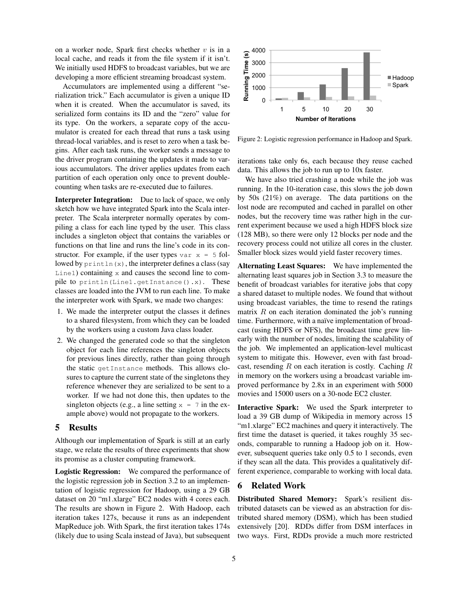on a worker node, Spark first checks whether  $v$  is in a local cache, and reads it from the file system if it isn't. We initially used HDFS to broadcast variables, but we are developing a more efficient streaming broadcast system.

Accumulators are implemented using a different "serialization trick." Each accumulator is given a unique ID when it is created. When the accumulator is saved, its serialized form contains its ID and the "zero" value for its type. On the workers, a separate copy of the accumulator is created for each thread that runs a task using thread-local variables, and is reset to zero when a task begins. After each task runs, the worker sends a message to the driver program containing the updates it made to various accumulators. The driver applies updates from each partition of each operation only once to prevent doublecounting when tasks are re-executed due to failures.

Interpreter Integration: Due to lack of space, we only sketch how we have integrated Spark into the Scala interpreter. The Scala interpreter normally operates by compiling a class for each line typed by the user. This class includes a singleton object that contains the variables or functions on that line and runs the line's code in its constructor. For example, if the user types var  $x = 5$  followed by  $\text{print}\left(x\right)$ , the interpreter defines a class (say  $Line1)$  containing  $x$  and causes the second line to compile to println(Line1.getInstance().x). These classes are loaded into the JVM to run each line. To make the interpreter work with Spark, we made two changes: when it is created. When the accumulator is saved, it is observed into the state of the state of variable is to D and the "served" value for simulator is subsequent in the scalar of the state in the same state in the same

- 1. We made the interpreter output the classes it defines to a shared filesystem, from which they can be loaded by the workers using a custom Java class loader.
- 2. We changed the generated code so that the singleton object for each line references the singleton objects for previous lines directly, rather than going through the static getInstance methods. This allows closures to capture the current state of the singletons they reference whenever they are serialized to be sent to a worker. If we had not done this, then updates to the singleton objects (e.g., a line setting  $x = 7$  in the example above) would not propagate to the workers.

### 5 Results

Although our implementation of Spark is still at an early stage, we relate the results of three experiments that show its promise as a cluster computing framework.

Logistic Regression: We compared the performance of the logistic regression job in Section 3.2 to an implementation of logistic regression for Hadoop, using a 29 GB dataset on 20 "m1.xlarge" EC2 nodes with 4 cores each. The results are shown in Figure 2. With Hadoop, each iteration takes 127s, because it runs as an independent MapReduce job. With Spark, the first iteration takes 174s



Figure 2: Logistic regression performance in Hadoop and Spark.

iterations take only 6s, each because they reuse cached data. This allows the job to run up to 10x faster.

We have also tried crashing a node while the job was running. In the 10-iteration case, this slows the job down by 50s (21%) on average. The data partitions on the lost node are recomputed and cached in parallel on other nodes, but the recovery time was rather high in the current experiment because we used a high HDFS block size (128 MB), so there were only 12 blocks per node and the recovery process could not utilize all cores in the cluster. Smaller block sizes would yield faster recovery times.

Alternating Least Squares: We have implemented the alternating least squares job in Section 3.3 to measure the benefit of broadcast variables for iterative jobs that copy a shared dataset to multiple nodes. We found that without using broadcast variables, the time to resend the ratings matrix  $R$  on each iteration dominated the job's running time. Furthermore, with a naïve implementation of broadcast (using HDFS or NFS), the broadcast time grew linearly with the number of nodes, limiting the scalability of the job. We implemented an application-level multicast system to mitigate this. However, even with fast broadcast, resending R on each iteration is costly. Caching R in memory on the workers using a broadcast variable improved performance by 2.8x in an experiment with 5000 movies and 15000 users on a 30-node EC2 cluster.

Interactive Spark: We used the Spark interpreter to load a 39 GB dump of Wikipedia in memory across 15 "m1.xlarge" EC2 machines and query it interactively. The first time the dataset is queried, it takes roughly 35 seconds, comparable to running a Hadoop job on it. However, subsequent queries take only 0.5 to 1 seconds, even if they scan all the data. This provides a qualitatively different experience, comparable to working with local data.

#### 6 Related Work

Distributed Shared Memory: Spark's resilient distributed datasets can be viewed as an abstraction for distributed shared memory (DSM), which has been studied extensively [20]. RDDs differ from DSM interfaces in two ways. First, RDDs provide a much more restricted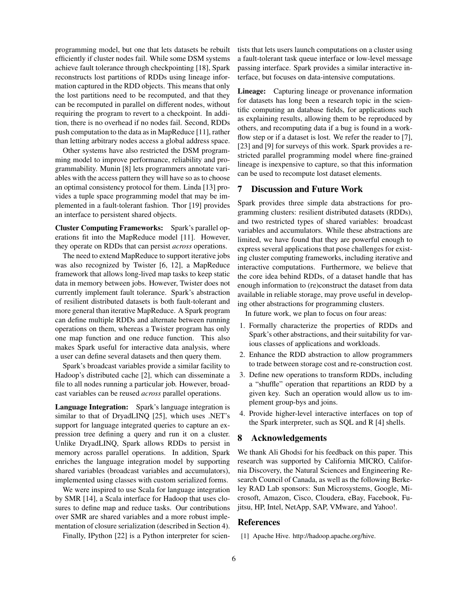programming model, but one that lets datasets be rebuilt efficiently if cluster nodes fail. While some DSM systems achieve fault tolerance through checkpointing [18], Spark reconstructs lost partitions of RDDs using lineage information captured in the RDD objects. This means that only the lost partitions need to be recomputed, and that they can be recomputed in parallel on different nodes, without requiring the program to revert to a checkpoint. In addition, there is no overhead if no nodes fail. Second, RDDs push computation to the data as in MapReduce [11], rather than letting arbitrary nodes access a global address space.

Other systems have also restricted the DSM programming model to improve performance, reliability and programmability. Munin [8] lets programmers annotate variables with the access pattern they will have so as to choose an optimal consistency protocol for them. Linda [13] provides a tuple space programming model that may be implemented in a fault-tolerant fashion. Thor [19] provides an interface to persistent shared objects.

Cluster Computing Frameworks: Spark's parallel operations fit into the MapReduce model [11]. However, they operate on RDDs that can persist *across* operations.

The need to extend MapReduce to support iterative jobs was also recognized by Twister [6, 12], a MapReduce framework that allows long-lived map tasks to keep static data in memory between jobs. However, Twister does not currently implement fault tolerance. Spark's abstraction of resilient distributed datasets is both fault-tolerant and more general than iterative MapReduce. A Spark program can define multiple RDDs and alternate between running operations on them, whereas a Twister program has only one map function and one reduce function. This also makes Spark useful for interactive data analysis, where a user can define several datasets and then query them.

Spark's broadcast variables provide a similar facility to Hadoop's distributed cache [2], which can disseminate a file to all nodes running a particular job. However, broadcast variables can be reused *across* parallel operations.

Language Integration: Spark's language integration is similar to that of DryadLINQ [25], which uses .NET's support for language integrated queries to capture an expression tree defining a query and run it on a cluster. Unlike DryadLINQ, Spark allows RDDs to persist in memory across parallel operations. In addition, Spark enriches the language integration model by supporting shared variables (broadcast variables and accumulators), implemented using classes with custom serialized forms.

We were inspired to use Scala for language integration by SMR [14], a Scala interface for Hadoop that uses closures to define map and reduce tasks. Our contributions over SMR are shared variables and a more robust implementation of closure serialization (described in Section 4).

Finally, IPython [22] is a Python interpreter for scien-

tists that lets users launch computations on a cluster using a fault-tolerant task queue interface or low-level message passing interface. Spark provides a similar interactive interface, but focuses on data-intensive computations.

Lineage: Capturing lineage or provenance information for datasets has long been a research topic in the scientific computing an database fields, for applications such as explaining results, allowing them to be reproduced by others, and recomputing data if a bug is found in a workflow step or if a dataset is lost. We refer the reader to [7], [23] and [9] for surveys of this work. Spark provides a restricted parallel programming model where fine-grained lineage is inexpensive to capture, so that this information can be used to recompute lost dataset elements.

### 7 Discussion and Future Work

Spark provides three simple data abstractions for programming clusters: resilient distributed datasets (RDDs), and two restricted types of shared variables: broadcast variables and accumulators. While these abstractions are limited, we have found that they are powerful enough to express several applications that pose challenges for existing cluster computing frameworks, including iterative and interactive computations. Furthermore, we believe that the core idea behind RDDs, of a dataset handle that has enough information to (re)construct the dataset from data available in reliable storage, may prove useful in developing other abstractions for programming clusters.

In future work, we plan to focus on four areas:

- 1. Formally characterize the properties of RDDs and Spark's other abstractions, and their suitability for various classes of applications and workloads.
- 2. Enhance the RDD abstraction to allow programmers to trade between storage cost and re-construction cost.
- 3. Define new operations to transform RDDs, including a "shuffle" operation that repartitions an RDD by a given key. Such an operation would allow us to implement group-bys and joins.
- 4. Provide higher-level interactive interfaces on top of the Spark interpreter, such as SQL and R [4] shells.

#### 8 Acknowledgements

We thank Ali Ghodsi for his feedback on this paper. This research was supported by California MICRO, California Discovery, the Natural Sciences and Engineering Research Council of Canada, as well as the following Berkeley RAD Lab sponsors: Sun Microsystems, Google, Microsoft, Amazon, Cisco, Cloudera, eBay, Facebook, Fujitsu, HP, Intel, NetApp, SAP, VMware, and Yahoo!.

#### References

[1] Apache Hive. http://hadoop.apache.org/hive.